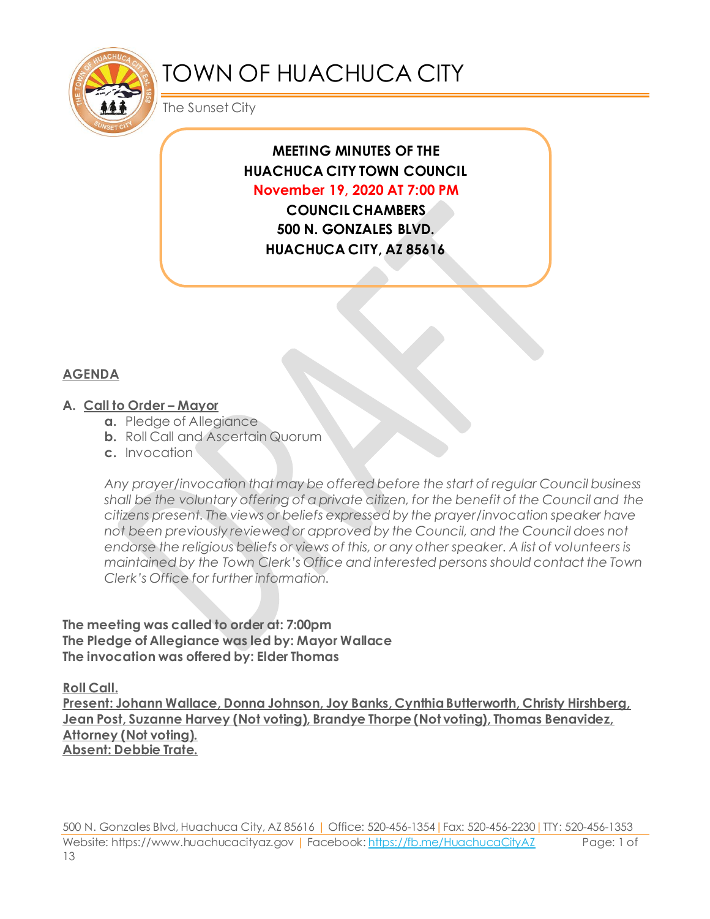

# TOWN OF HUACHUCA CITY

The Sunset City

## **MEETING MINUTES OF THE HUACHUCA CITY TOWN COUNCIL November 19, 2020 AT 7:00 PM**

**COUNCIL CHAMBERS 500 N. GONZALES BLVD. HUACHUCA CITY, AZ 85616**

## **AGENDA**

#### **A. Call to Order – Mayor**

- **a.** Pledge of Allegiance
- **b.** Roll Call and Ascertain Quorum
- **c.** Invocation

*Any prayer/invocation that may be offered before the start of regular Council business shall be the voluntary offering of a private citizen, for the benefit of the Council and the citizens present. The views or beliefs expressed by the prayer/invocation speaker have not been previously reviewed or approved by the Council, and the Council does not endorse the religious beliefs or views of this, or any other speaker. A list of volunteers is maintained by the Town Clerk's Office and interested persons should contact the Town Clerk's Office for further information.*

**The meeting was called to order at: 7:00pm The Pledge of Allegiance was led by: Mayor Wallace The invocation was offered by: Elder Thomas**

**Roll Call.**

**Present: Johann Wallace, Donna Johnson, Joy Banks, Cynthia Butterworth, Christy Hirshberg, Jean Post, Suzanne Harvey (Not voting), Brandye Thorpe (Not voting), Thomas Benavidez, Attorney (Not voting). Absent: Debbie Trate.**

500 N. Gonzales Blvd, Huachuca City, AZ 85616 | Office: 520-456-1354|Fax: 520-456-2230|TTY: 520-456-1353 Website: https://www.huachucacityaz.gov | Facebook[: https://fb.me/HuachucaCityAZ](https://fb.me/HuachucaCityAZ) Page: 1 of 13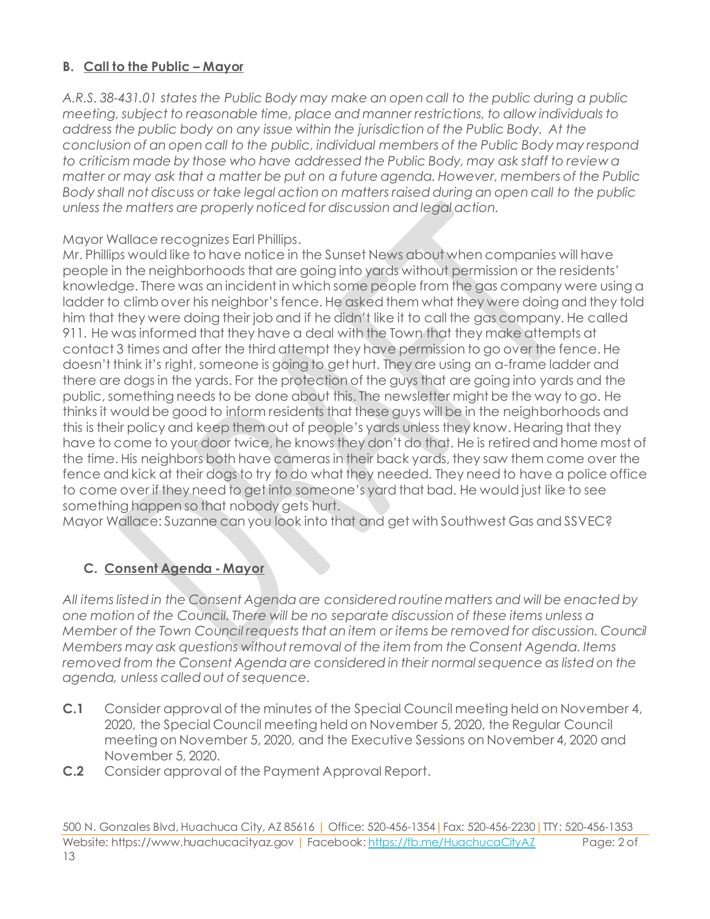## **B. Call to the Public – Mayor**

*A.R.S. 38-431.01 states the Public Body may make an open call to the public during a public meeting, subject to reasonable time, place and manner restrictions, to allow individuals to address the public body on any issue within the jurisdiction of the Public Body. At the conclusion of an open call to the public, individual members of the Public Body may respond to criticism made by those who have addressed the Public Body, may ask staff to review a matter or may ask that a matter be put on a future agenda. However, members of the Public Body shall not discuss or take legal action on matters raised during an open call to the public unless the matters are properly noticed for discussion and legal action.*

#### Mayor Wallace recognizes Earl Phillips.

Mr. Phillips would like to have notice in the Sunset News about when companies will have people in the neighborhoods that are going into yards without permission or the residents' knowledge. There was an incident in which some people from the gas company were using a ladder to climb over his neighbor's fence. He asked them what they were doing and they told him that they were doing their job and if he didn't like it to call the gas company. He called 911. He was informed that they have a deal with the Town that they make attempts at contact 3 times and after the third attempt they have permission to go over the fence. He doesn't think it's right, someone is going to get hurt. They are using an a-frame ladder and there are dogs in the yards. For the protection of the guys that are going into yards and the public, something needs to be done about this. The newsletter might be the way to go. He thinks it would be good to inform residents that these guys will be in the neighborhoods and this is their policy and keep them out of people's yards unless they know. Hearing that they have to come to your door twice, he knows they don't do that. He is retired and home most of the time. His neighbors both have cameras in their back yards, they saw them come over the fence and kick at their dogs to try to do what they needed. They need to have a police office to come over if they need to get into someone's yard that bad. He would just like to see something happen so that nobody gets hurt.

Mayor Wallace: Suzanne can you look into that and get with Southwest Gas and SSVEC?

## **C. Consent Agenda - Mayor**

*All items listed in the Consent Agenda are considered routine matters and will be enacted by one motion of the Council. There will be no separate discussion of these items unless a Member of the Town Council requests that an item or items be removed for discussion. Council Members may ask questions without removal of the item from the Consent Agenda. Items removed from the Consent Agenda are considered in their normal sequence as listed on the agenda, unless called out of sequence.*

- **C.1** Consider approval of the minutes of the Special Council meeting held on November 4, 2020, the Special Council meeting held on November 5, 2020, the Regular Council meeting on November 5, 2020, and the Executive Sessions on November 4, 2020 and November 5, 2020.
- **C.2** Consider approval of the Payment Approval Report.

500 N. Gonzales Blvd, Huachuca City, AZ 85616 | Office: 520-456-1354|Fax: 520-456-2230|TTY: 520-456-1353 Website: https://www.huachucacityaz.gov | Facebook[: https://fb.me/HuachucaCityAZ](https://fb.me/HuachucaCityAZ) Page: 2 of 13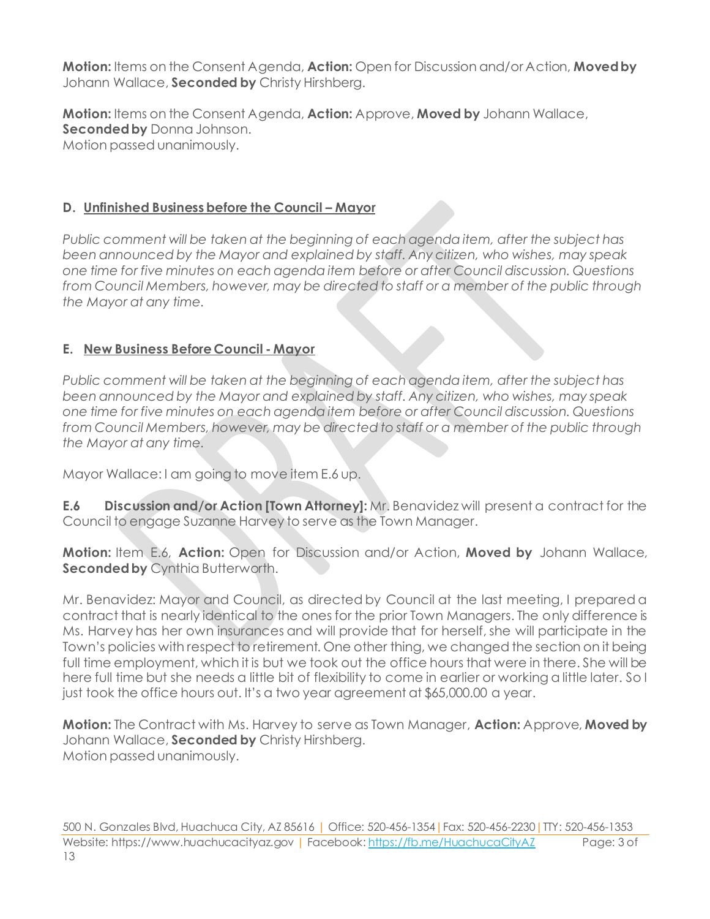**Motion:** Items on the Consent Agenda, **Action:** Open for Discussion and/or Action, **Moved by** Johann Wallace, **Seconded by** Christy Hirshberg.

**Motion:** Items on the Consent Agenda, **Action:** Approve, **Moved by** Johann Wallace, **Seconded by** Donna Johnson. Motion passed unanimously.

## **D. Unfinished Business before the Council – Mayor**

*Public comment will be taken at the beginning of each agenda item, after the subject has been announced by the Mayor and explained by staff. Any citizen, who wishes, may speak one time for five minutes on each agenda item before or after Council discussion. Questions from Council Members, however, may be directed to staff or a member of the public through the Mayor at any time.*

## **E. New Business Before Council - Mayor**

*Public comment will be taken at the beginning of each agenda item, after the subject has been announced by the Mayor and explained by staff. Any citizen, who wishes, may speak one time for five minutes on each agenda item before or after Council discussion. Questions from Council Members, however, may be directed to staff or a member of the public through the Mayor at any time.*

Mayor Wallace: I am going to move item E.6 up.

**E.6 Discussion and/or Action [Town Attorney]:** Mr. Benavidez will present a contract for the Council to engage Suzanne Harvey to serve as the Town Manager.

**Motion:** Item E.6, **Action:** Open for Discussion and/or Action, **Moved by** Johann Wallace, **Seconded by** Cynthia Butterworth.

Mr. Benavidez: Mayor and Council, as directed by Council at the last meeting, I prepared a contract that is nearly identical to the ones for the prior Town Managers. The only difference is Ms. Harvey has her own insurances and will provide that for herself, she will participate in the Town's policies with respect to retirement. One other thing, we changed the section on it being full time employment, which it is but we took out the office hours that were in there. She will be here full time but she needs a little bit of flexibility to come in earlier or working a little later. So I just took the office hours out. It's a two year agreement at \$65,000.00 a year.

**Motion:** The Contract with Ms. Harvey to serve as Town Manager, **Action:** Approve, **Moved by** Johann Wallace, **Seconded by** Christy Hirshberg. Motion passed unanimously.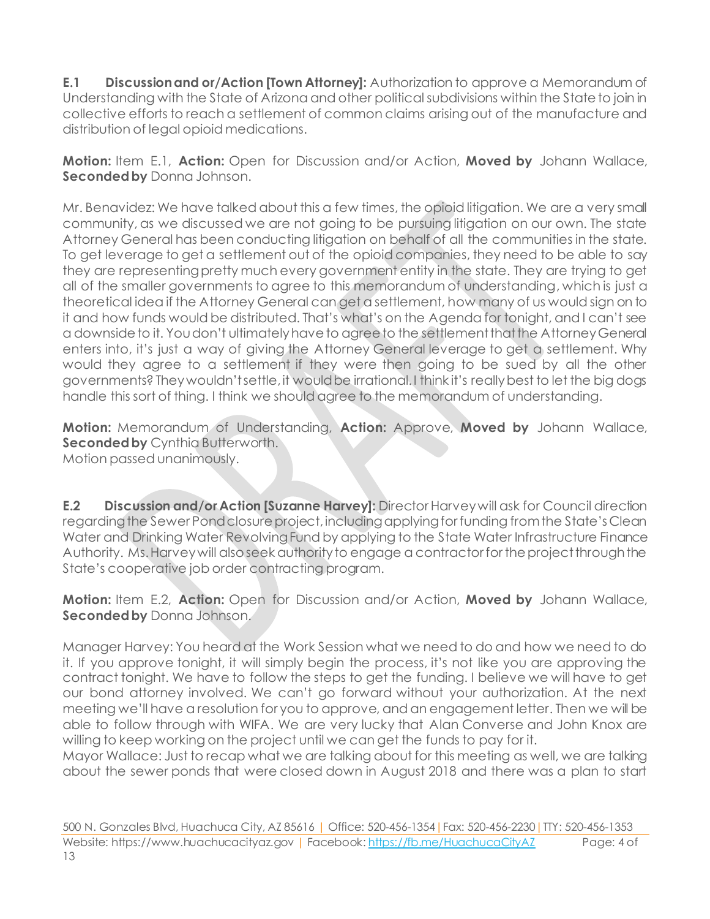**E.1** Discussion and or/Action [Town Attorney]: Authorization to approve a Memorandum of Understanding with the State of Arizona and other political subdivisions within the State to join in collective efforts to reach a settlement of common claims arising out of the manufacture and distribution of legal opioid medications.

**Motion:** Item E.1, **Action:** Open for Discussion and/or Action, **Moved by** Johann Wallace, **Seconded by** Donna Johnson.

Mr. Benavidez: We have talked about this a few times, the opioid litigation. We are a very small community, as we discussed we are not going to be pursuing litigation on our own. The state Attorney General has been conducting litigation on behalf of all the communities in the state. To get leverage to get a settlement out of the opioid companies, they need to be able to say they are representing pretty much every government entity in the state. They are trying to get all of the smaller governments to agree to this memorandum of understanding, which is just a theoretical idea if the Attorney General can get a settlement, how many of us would sign on to it and how funds would be distributed. That's what's on the Agenda for tonight, and I can't see a downside to it. You don't ultimately have to agree to the settlement that the Attorney General enters into, it's just a way of giving the Attorney General leverage to get a settlement. Why would they agree to a settlement if they were then going to be sued by all the other governments? They wouldn't settle, it would be irrational. I think it's really best to let the big dogs handle this sort of thing. I think we should agree to the memorandum of understanding.

**Motion:** Memorandum of Understanding, **Action:** Approve, **Moved by** Johann Wallace, **Seconded by** Cynthia Butterworth. Motion passed unanimously.

**E.2 Discussion and/or Action [Suzanne Harvey]:** Director Harvey will ask for Council direction regarding the Sewer Pond closure project, including applying for funding from the State's Clean Water and Drinking Water Revolving Fund by applying to the State Water Infrastructure Finance Authority. Ms. Harvey will also seek authority to engage a contractor for the project through the State's cooperative job order contracting program.

**Motion:** Item E.2, **Action:** Open for Discussion and/or Action, **Moved by** Johann Wallace, **Seconded by** Donna Johnson.

Manager Harvey: You heard at the Work Session what we need to do and how we need to do it. If you approve tonight, it will simply begin the process, it's not like you are approving the contract tonight. We have to follow the steps to get the funding. I believe we will have to get our bond attorney involved. We can't go forward without your authorization. At the next meeting we'll have a resolution for you to approve, and an engagement letter. Then we will be able to follow through with WIFA. We are very lucky that Alan Converse and John Knox are willing to keep working on the project until we can get the funds to pay for it.

Mayor Wallace: Just to recap what we are talking about for this meeting as well, we are talking about the sewer ponds that were closed down in August 2018 and there was a plan to start

500 N. Gonzales Blvd, Huachuca City, AZ 85616 | Office: 520-456-1354|Fax: 520-456-2230|TTY: 520-456-1353 Website: https://www.huachucacityaz.gov | Facebook[: https://fb.me/HuachucaCityAZ](https://fb.me/HuachucaCityAZ) Page: 4 of 13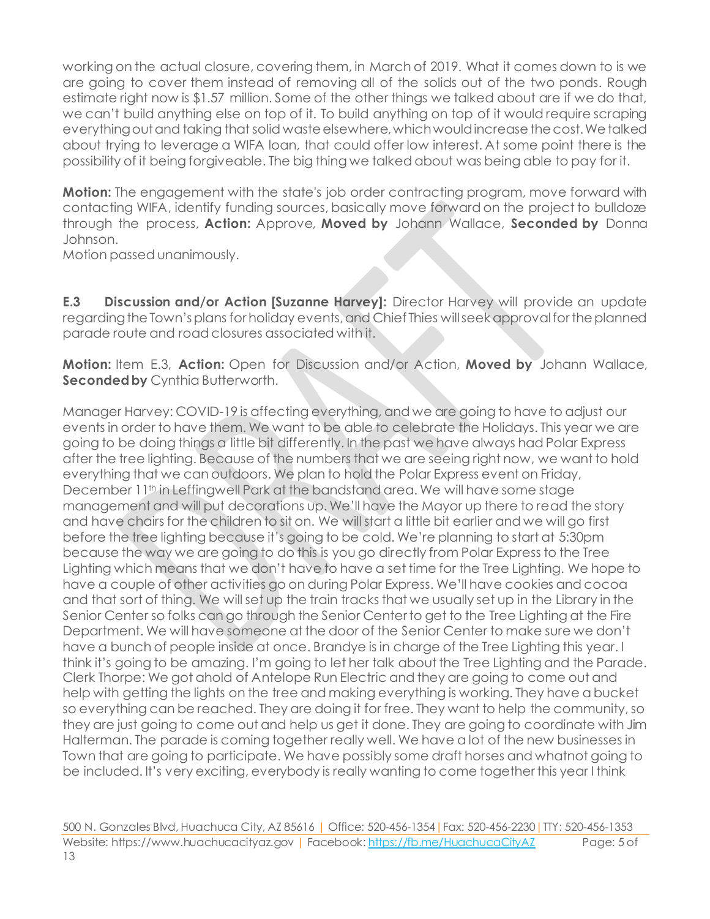working on the actual closure, covering them, in March of 2019. What it comes down to is we are going to cover them instead of removing all of the solids out of the two ponds. Rough estimate right now is \$1.57 million. Some of the other things we talked about are if we do that, we can't build anything else on top of it. To build anything on top of it would require scraping everything out and taking that solid waste elsewhere, which would increase the cost. We talked about trying to leverage a WIFA loan, that could offer low interest. At some point there is the possibility of it being forgiveable. The big thing we talked about was being able to pay for it.

**Motion:** The engagement with the state's job order contracting program, move forward with contacting WIFA, identify funding sources, basically move forward on the project to bulldoze through the process, **Action:** Approve, **Moved by** Johann Wallace, **Seconded by** Donna Johnson.

Motion passed unanimously.

**E.3 Discussion and/or Action [Suzanne Harvey]:** Director Harvey will provide an update regarding the Town's plans for holiday events, and Chief Thies will seek approval for the planned parade route and road closures associated with it.

**Motion:** Item E.3, **Action:** Open for Discussion and/or Action, **Moved by** Johann Wallace, **Seconded by** Cynthia Butterworth.

Manager Harvey: COVID-19 is affecting everything, and we are going to have to adjust our events in order to have them. We want to be able to celebrate the Holidays. This year we are going to be doing things a little bit differently. In the past we have always had Polar Express after the tree lighting. Because of the numbers that we are seeing right now, we want to hold everything that we can outdoors. We plan to hold the Polar Express event on Friday, December 11<sup>th</sup> in Leffingwell Park at the bandstand area. We will have some stage management and will put decorations up. We'll have the Mayor up there to read the story and have chairs for the children to sit on. We will start a little bit earlier and we will go first before the tree lighting because it's going to be cold. We're planning to start at 5:30pm because the way we are going to do this is you go directly from Polar Express to the Tree Lighting which means that we don't have to have a set time for the Tree Lighting. We hope to have a couple of other activities go on during Polar Express. We'll have cookies and cocoa and that sort of thing. We will set up the train tracks that we usually set up in the Library in the Senior Center so folks can go through the Senior Center to get to the Tree Lighting at the Fire Department. We will have someone at the door of the Senior Center to make sure we don't have a bunch of people inside at once. Brandye is in charge of the Tree Lighting this year. I think it's going to be amazing. I'm going to let her talk about the Tree Lighting and the Parade. Clerk Thorpe: We got ahold of Antelope Run Electric and they are going to come out and help with getting the lights on the tree and making everything is working. They have a bucket so everything can be reached. They are doing it for free. They want to help the community, so they are just going to come out and help us get it done. They are going to coordinate with Jim Halterman. The parade is coming together really well. We have a lot of the new businesses in Town that are going to participate. We have possibly some draft horses and whatnot going to be included. It's very exciting, everybody is really wanting to come together this year I think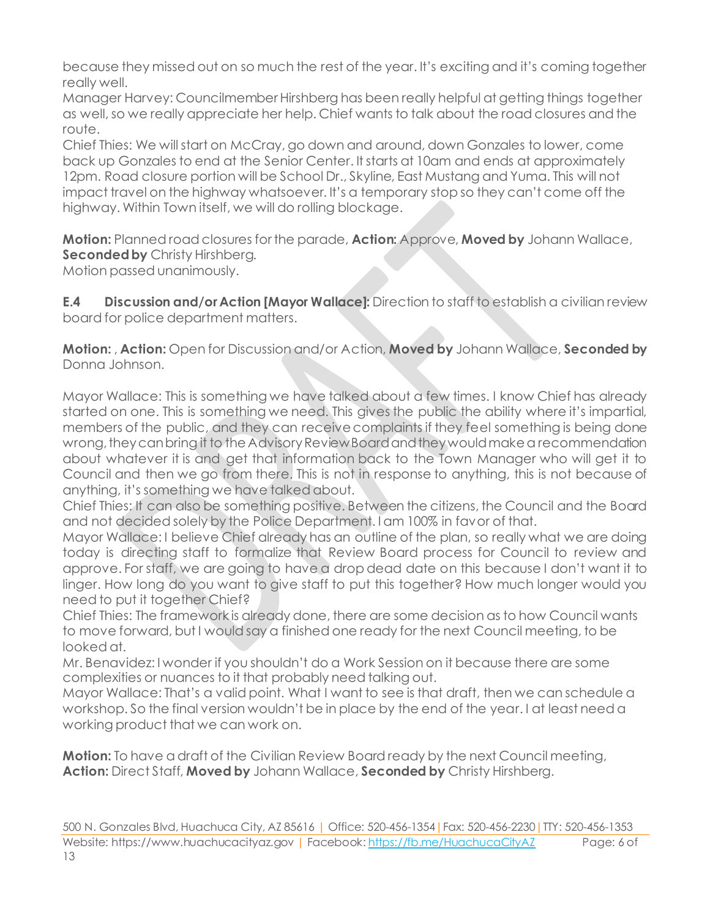because they missed out on so much the rest of the year. It's exciting and it's coming together really well.

Manager Harvey: Councilmember Hirshberg has been really helpful at getting things together as well, so we really appreciate her help. Chief wants to talk about the road closures and the route.

Chief Thies: We will start on McCray, go down and around, down Gonzales to lower, come back up Gonzales to end at the Senior Center. It starts at 10am and ends at approximately 12pm. Road closure portion will be School Dr., Skyline, East Mustang and Yuma. This will not impact travel on the highway whatsoever. It's a temporary stop so they can't come off the highway. Within Town itself, we will do rolling blockage.

**Motion:** Planned road closures for the parade, **Action:** Approve, **Moved by** Johann Wallace, **Seconded by** Christy Hirshberg.

Motion passed unanimously.

**E.4 Discussion and/or Action [Mayor Wallace]:** Direction to staff to establish a civilian review board for police department matters.

**Motion:** , **Action:** Open for Discussion and/or Action, **Moved by** Johann Wallace, **Seconded by** Donna Johnson.

Mayor Wallace: This is something we have talked about a few times. I know Chief has already started on one. This is something we need. This gives the public the ability where it's impartial, members of the public, and they can receive complaints if they feel something is being done wrong, they can bring it to the Advisory Review Board and they would make a recommendation about whatever it is and get that information back to the Town Manager who will get it to Council and then we go from there. This is not in response to anything, this is not because of anything, it's something we have talked about.

Chief Thies: It can also be something positive. Between the citizens, the Council and the Board and not decided solely by the Police Department. I am 100% in favor of that.

Mayor Wallace: I believe Chief already has an outline of the plan, so really what we are doing today is directing staff to formalize that Review Board process for Council to review and approve. For staff, we are going to have a drop dead date on this because I don't want it to linger. How long do you want to give staff to put this together? How much longer would you need to put it together Chief?

Chief Thies: The framework is already done, there are some decision as to how Council wants to move forward, but I would say a finished one ready for the next Council meeting, to be looked at.

Mr. Benavidez: I wonder if you shouldn't do a Work Session on it because there are some complexities or nuances to it that probably need talking out.

Mayor Wallace: That's a valid point. What I want to see is that draft, then we can schedule a workshop. So the final version wouldn't be in place by the end of the year. I at least need a working product that we can work on.

**Motion:** To have a draft of the Civilian Review Board ready by the next Council meeting, **Action:** Direct Staff, **Moved by** Johann Wallace, **Seconded by** Christy Hirshberg.

500 N. Gonzales Blvd, Huachuca City, AZ 85616 | Office: 520-456-1354|Fax: 520-456-2230|TTY: 520-456-1353 Website: https://www.huachucacityaz.gov | Facebook[: https://fb.me/HuachucaCityAZ](https://fb.me/HuachucaCityAZ) Page: 6 of 13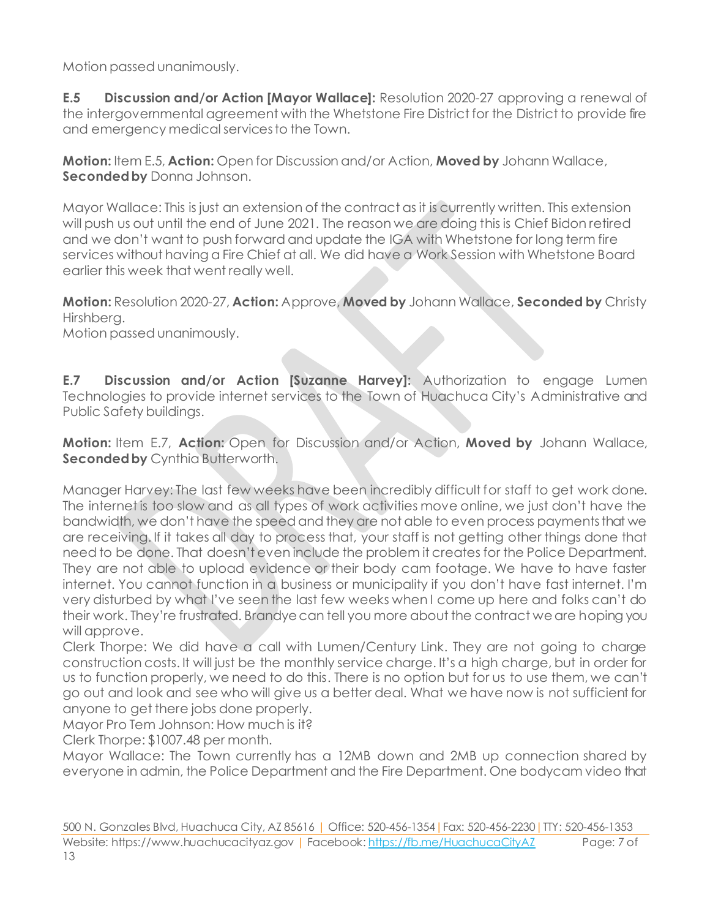Motion passed unanimously.

**E.5 Discussion and/or Action [Mayor Wallace]:** Resolution 2020-27 approving a renewal of the intergovernmental agreement with the Whetstone Fire District for the District to provide fire and emergency medical services to the Town.

**Motion:** Item E.5, **Action:** Open for Discussion and/or Action, **Moved by** Johann Wallace, **Seconded by** Donna Johnson.

Mayor Wallace: This is just an extension of the contract as it is currently written. This extension will push us out until the end of June 2021. The reason we are doing this is Chief Bidon retired and we don't want to push forward and update the IGA with Whetstone for long term fire services without having a Fire Chief at all. We did have a Work Session with Whetstone Board earlier this week that went really well.

**Motion:** Resolution 2020-27, **Action:** Approve, **Moved by** Johann Wallace, **Seconded by** Christy Hirshberg.

Motion passed unanimously.

**E.7 Discussion and/or Action [Suzanne Harvey]:** Authorization to engage Lumen Technologies to provide internet services to the Town of Huachuca City's Administrative and Public Safety buildings.

**Motion:** Item E.7, **Action:** Open for Discussion and/or Action, **Moved by** Johann Wallace, **Seconded by** Cynthia Butterworth.

Manager Harvey: The last few weeks have been incredibly difficult for staff to get work done. The internet is too slow and as all types of work activities move online, we just don't have the bandwidth, we don't have the speed and they are not able to even process payments that we are receiving. If it takes all day to process that, your staff is not getting other things done that need to be done. That doesn't even include the problem it creates for the Police Department. They are not able to upload evidence or their body cam footage. We have to have faster internet. You cannot function in a business or municipality if you don't have fast internet. I'm very disturbed by what I've seen the last few weeks when I come up here and folks can't do their work. They're frustrated. Brandye can tell you more about the contract we are hoping you will approve.

Clerk Thorpe: We did have a call with Lumen/Century Link. They are not going to charge construction costs. It will just be the monthly service charge. It's a high charge, but in order for us to function properly, we need to do this. There is no option but for us to use them, we can't go out and look and see who will give us a better deal. What we have now is not sufficient for anyone to get there jobs done properly.

Mayor Pro Tem Johnson: How much is it?

Clerk Thorpe: \$1007.48 per month.

Mayor Wallace: The Town currently has a 12MB down and 2MB up connection shared by everyone in admin, the Police Department and the Fire Department. One bodycam video that

500 N. Gonzales Blvd, Huachuca City, AZ 85616 | Office: 520-456-1354|Fax: 520-456-2230|TTY: 520-456-1353 Website: https://www.huachucacityaz.gov | Facebook[: https://fb.me/HuachucaCityAZ](https://fb.me/HuachucaCityAZ) Page: 7 of 13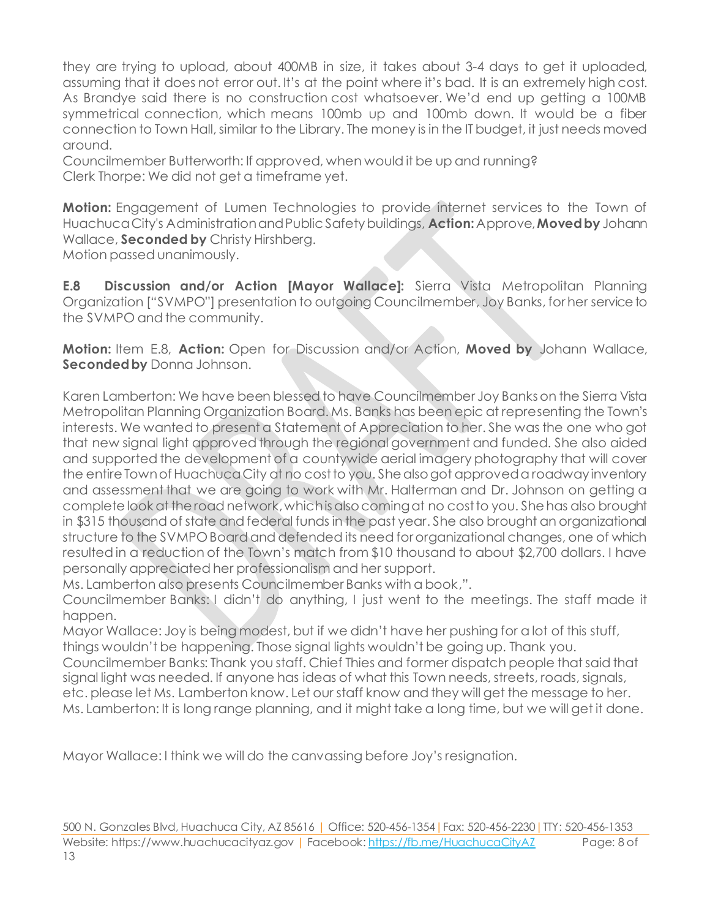they are trying to upload, about 400MB in size, it takes about 3-4 days to get it uploaded, assuming that it does not error out. It's at the point where it's bad. It is an extremely high cost. As Brandye said there is no construction cost whatsoever. We'd end up getting a 100MB symmetrical connection, which means 100mb up and 100mb down. It would be a fiber connection to Town Hall, similar to the Library. The money is in the IT budget, it just needs moved around.

Councilmember Butterworth: If approved, when would it be up and running? Clerk Thorpe: We did not get a timeframe yet.

**Motion:** Engagement of Lumen Technologies to provide internet services to the Town of Huachuca City's Administration and Public Safety buildings, **Action:**Approve, **Moved by** Johann Wallace, **Seconded by** Christy Hirshberg. Motion passed unanimously.

**E.8 Discussion and/or Action [Mayor Wallace]:** Sierra Vista Metropolitan Planning Organization ["SVMPO"] presentation to outgoing Councilmember, Joy Banks, for her service to the SVMPO and the community.

**Motion:** Item E.8, **Action:** Open for Discussion and/or Action, **Moved by** Johann Wallace, **Seconded by** Donna Johnson.

Karen Lamberton: We have been blessed to have Councilmember Joy Banks on the Sierra Vista Metropolitan Planning Organization Board. Ms. Banks has been epic at representing the Town's interests. We wanted to present a Statement of Appreciation to her. She was the one who got that new signal light approved through the regional government and funded. She also aided and supported the development of a countywide aerial imagery photography that will cover the entire Town of Huachuca City at no cost to you. She also got approved a roadway inventory and assessment that we are going to work with Mr. Halterman and Dr. Johnson on getting a complete look at the road network, which is also coming at no cost to you. She has also brought in \$315 thousand of state and federal funds in the past year. She also brought an organizational structure to the SVMPO Board and defended its need for organizational changes, one of which resulted in a reduction of the Town's match from \$10 thousand to about \$2,700 dollars. I have personally appreciated her professionalism and her support.

Ms. Lamberton also presents Councilmember Banks with a book,".

Councilmember Banks: I didn't do anything, I just went to the meetings. The staff made it happen.

Mayor Wallace: Joy is being modest, but if we didn't have her pushing for a lot of this stuff, things wouldn't be happening. Those signal lights wouldn't be going up. Thank you.

Councilmember Banks: Thank you staff. Chief Thies and former dispatch people that said that signal light was needed. If anyone has ideas of what this Town needs, streets, roads, signals, etc. please let Ms. Lamberton know. Let our staff know and they will get the message to her. Ms. Lamberton: It is long range planning, and it might take a long time, but we will get it done.

Mayor Wallace: I think we will do the canvassing before Joy's resignation.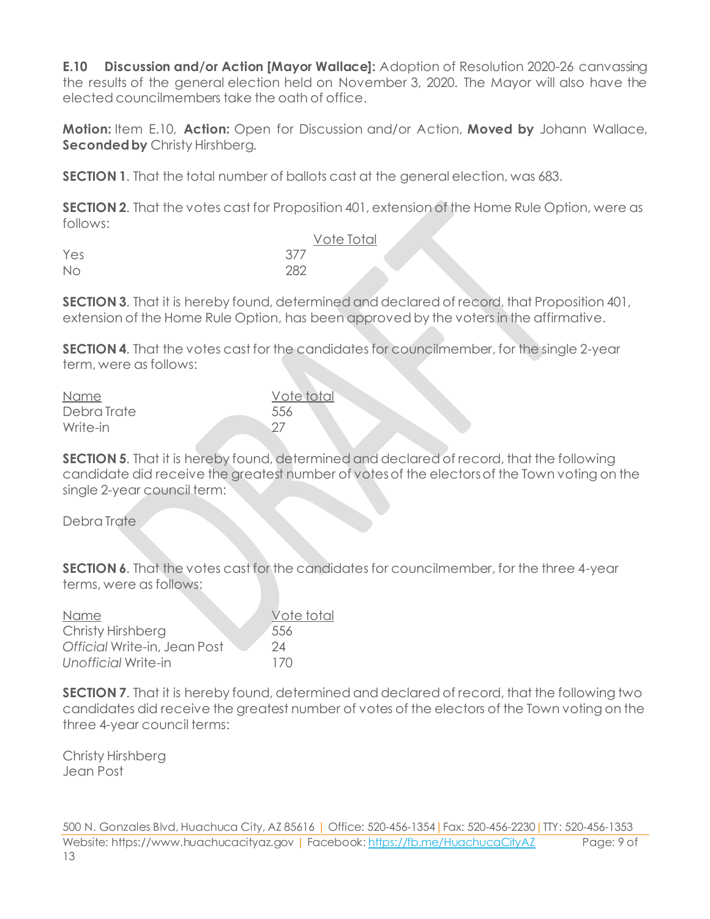**E.10 Discussion and/or Action [Mayor Wallace]:** Adoption of Resolution 2020-26 canvassing the results of the general election held on November 3, 2020. The Mayor will also have the elected councilmembers take the oath of office.

**Motion:** Item E.10, **Action:** Open for Discussion and/or Action, **Moved by** Johann Wallace, **Seconded by** Christy Hirshberg.

**SECTION 1**. That the total number of ballots cast at the general election, was 683.

**SECTION 2.** That the votes cast for Proposition 401, extension of the Home Rule Option, were as follows:

|     | Vote Total |  |
|-----|------------|--|
| Yes | 377        |  |
| No  | 282        |  |

**SECTION 3.** That it is hereby found, determined and declared of record, that Proposition 401, extension of the Home Rule Option, has been approved by the voters in the affirmative.

**SECTION 4.** That the votes cast for the candidates for councilmember, for the single 2-year term, were as follows:

| Name        | Vote total |
|-------------|------------|
| Debra Trate | 556        |
| Write-in    | - 27       |

**SECTION 5**. That it is hereby found, determined and declared of record, that the following candidate did receive the greatest number of votes of the electors of the Town voting on the single 2-year council term:

Debra Trate

**SECTION 6.** That the votes cast for the candidates for councilmember, for the three 4-year terms, were as follows:

| Name                         | Vote total |
|------------------------------|------------|
| Christy Hirshberg            | 556        |
| Official Write-in, Jean Post | 24         |
| Unofficial Write-in          | 170        |

**SECTION 7.** That it is hereby found, determined and declared of record, that the following two candidates did receive the greatest number of votes of the electors of the Town voting on the three 4-year council terms:

Christy Hirshberg Jean Post

500 N. Gonzales Blvd, Huachuca City, AZ 85616 | Office: 520-456-1354|Fax: 520-456-2230|TTY: 520-456-1353 Website: https://www.huachucacityaz.gov | Facebook[: https://fb.me/HuachucaCityAZ](https://fb.me/HuachucaCityAZ) Page: 9 of 13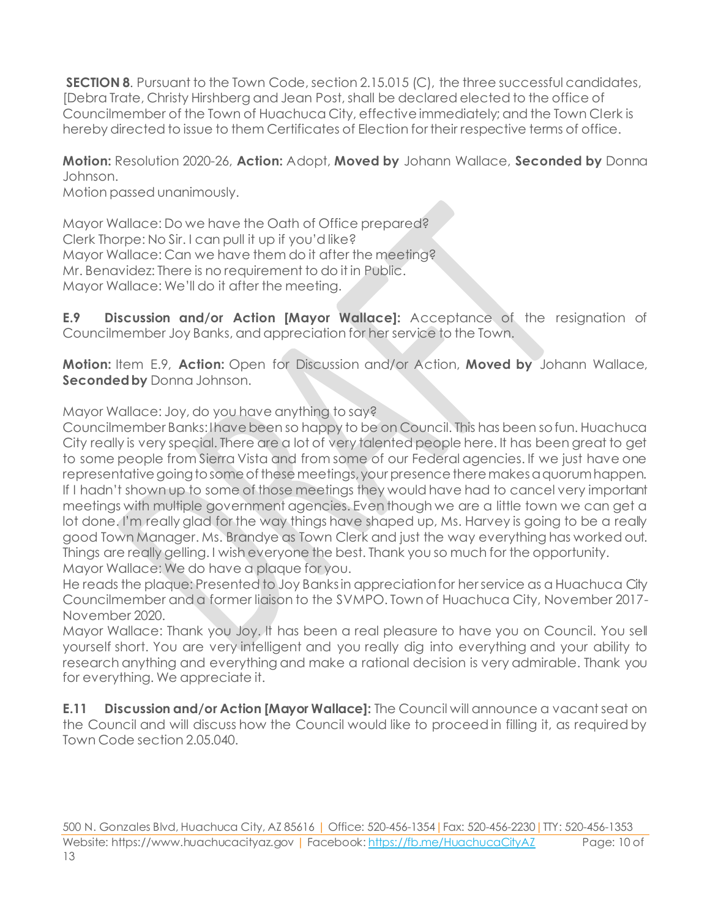**SECTION 8.** Pursuant to the Town Code, section 2.15.015 (C), the three successful candidates, [Debra Trate, Christy Hirshberg and Jean Post, shall be declared elected to the office of Councilmember of the Town of Huachuca City, effective immediately; and the Town Clerk is hereby directed to issue to them Certificates of Election for their respective terms of office.

## **Motion:** Resolution 2020-26, **Action:** Adopt, **Moved by** Johann Wallace, **Seconded by** Donna Johnson.

Motion passed unanimously.

Mayor Wallace: Do we have the Oath of Office prepared? Clerk Thorpe: No Sir. I can pull it up if you'd like? Mayor Wallace: Can we have them do it after the meeting? Mr. Benavidez: There is no requirement to do it in Public. Mayor Wallace: We'll do it after the meeting.

**E.9 Discussion and/or Action [Mayor Wallace]:** Acceptance of the resignation of Councilmember Joy Banks, and appreciation for her service to the Town.

**Motion:** Item E.9, **Action:** Open for Discussion and/or Action, **Moved by** Johann Wallace, **Seconded by** Donna Johnson.

Mayor Wallace: Joy, do you have anything to say?

Councilmember Banks: I have been so happy to be on Council. This has been so fun. Huachuca City really is very special. There are a lot of very talented people here. It has been great to get to some people from Sierra Vista and from some of our Federal agencies. If we just have one representative going to some of these meetings, your presence there makes a quorum happen. If I hadn't shown up to some of those meetings they would have had to cancel very important meetings with multiple government agencies. Even though we are a little town we can get a lot done. I'm really glad for the way things have shaped up, Ms. Harvey is going to be a really good Town Manager. Ms. Brandye as Town Clerk and just the way everything has worked out. Things are really gelling. I wish everyone the best. Thank you so much for the opportunity. Mayor Wallace: We do have a plaque for you.

He reads the plaque: Presented to Joy Banks in appreciation for her service as a Huachuca City Councilmember and a former liaison to the SVMPO. Town of Huachuca City, November 2017- November 2020.

Mayor Wallace: Thank you Joy. It has been a real pleasure to have you on Council. You sell yourself short. You are very intelligent and you really dig into everything and your ability to research anything and everything and make a rational decision is very admirable. Thank you for everything. We appreciate it.

**E.11 Discussion and/or Action [Mayor Wallace]:** The Council will announce a vacant seat on the Council and will discuss how the Council would like to proceed in filling it, as required by Town Code section 2.05.040.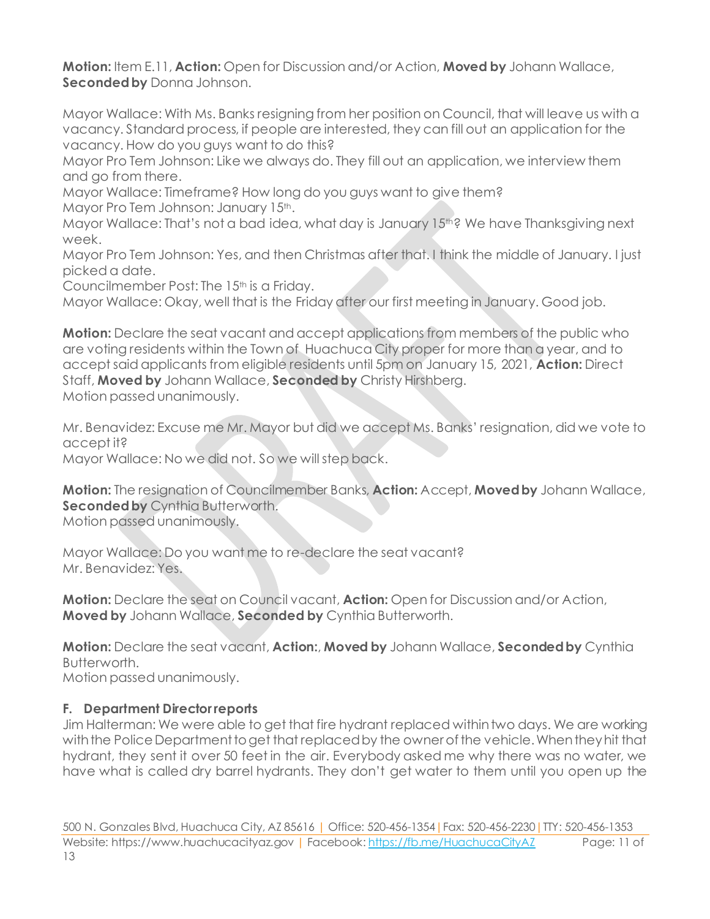**Motion:** Item E.11, **Action:** Open for Discussion and/or Action, **Moved by** Johann Wallace, **Seconded by** Donna Johnson.

Mayor Wallace: With Ms. Banks resigning from her position on Council, that will leave us with a vacancy. Standard process, if people are interested, they can fill out an application for the vacancy. How do you guys want to do this?

Mayor Pro Tem Johnson: Like we always do. They fill out an application, we interview them and go from there.

Mayor Wallace: Timeframe? How long do you guys want to give them? Mayor Pro Tem Johnson: January 15th.

Mayor Wallace: That's not a bad idea, what day is January 15<sup>th?</sup> We have Thanksgiving next week.

Mayor Pro Tem Johnson: Yes, and then Christmas after that. I think the middle of January. I just picked a date.

Councilmember Post: The 15<sup>th</sup> is a Friday.

Mayor Wallace: Okay, well that is the Friday after our first meeting in January. Good job.

**Motion:** Declare the seat vacant and accept applications from members of the public who are voting residents within the Town of Huachuca City proper for more than a year, and to accept said applicants from eligible residents until 5pm on January 15, 2021, **Action:** Direct Staff, **Moved by** Johann Wallace, **Seconded by** Christy Hirshberg. Motion passed unanimously.

Mr. Benavidez: Excuse me Mr. Mayor but did we accept Ms. Banks' resignation, did we vote to accept it?

Mayor Wallace: No we did not. So we will step back.

**Motion:** The resignation of Councilmember Banks, **Action:** Accept, **Moved by** Johann Wallace, **Seconded by** Cynthia Butterworth.

Motion passed unanimously.

Mayor Wallace: Do you want me to re-declare the seat vacant? Mr. Benavidez: Yes.

**Motion:** Declare the seat on Council vacant, **Action:** Open for Discussion and/or Action, **Moved by** Johann Wallace, **Seconded by** Cynthia Butterworth.

**Motion:** Declare the seat vacant, **Action:**, **Moved by** Johann Wallace, **Seconded by** Cynthia Butterworth.

Motion passed unanimously.

#### **F. Department Director reports**

Jim Halterman: We were able to get that fire hydrant replaced within two days. We are working with the Police Department to get that replaced by the owner of the vehicle. When they hit that hydrant, they sent it over 50 feet in the air. Everybody asked me why there was no water, we have what is called dry barrel hydrants. They don't get water to them until you open up the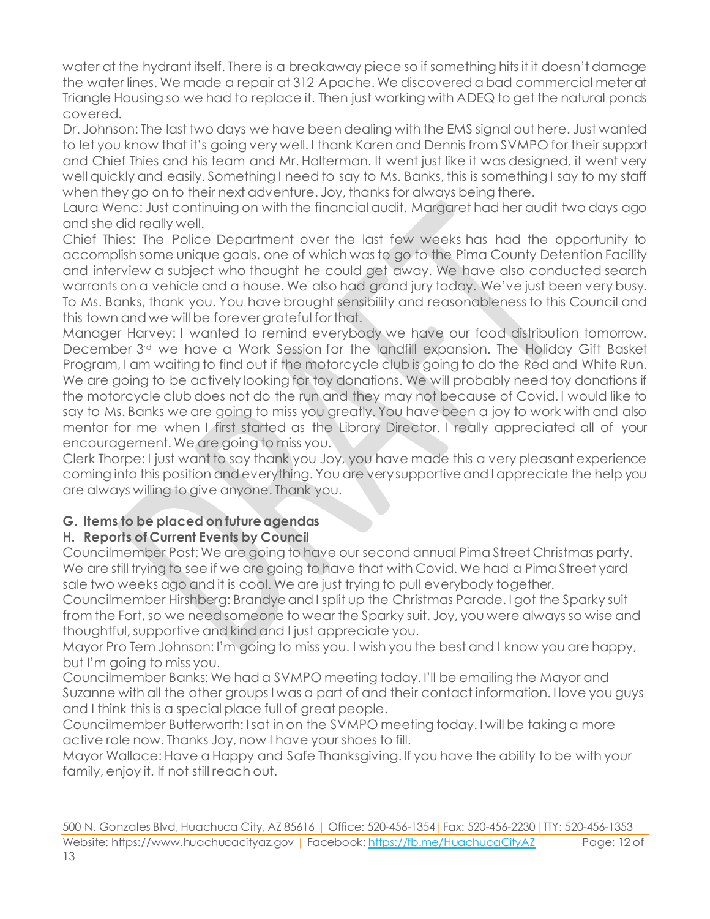water at the hydrant itself. There is a breakaway piece so if something hits it it doesn't damage the water lines. We made a repair at 312 Apache. We discovered a bad commercial meter at Triangle Housing so we had to replace it. Then just working with ADEQ to get the natural ponds covered.

Dr. Johnson: The last two days we have been dealing with the EMS signal out here. Just wanted to let you know that it's going very well. I thank Karen and Dennis from SVMPO for their support and Chief Thies and his team and Mr. Halterman. It went just like it was designed, it went very well quickly and easily. Something I need to say to Ms. Banks, this is something I say to my staff when they go on to their next adventure. Joy, thanks for always being there.

Laura Wenc: Just continuing on with the financial audit. Margaret had her audit two days ago and she did really well.

Chief Thies: The Police Department over the last few weeks has had the opportunity to accomplish some unique goals, one of which was to go to the Pima County Detention Facility and interview a subject who thought he could get away. We have also conducted search warrants on a vehicle and a house. We also had grand jury today. We've just been very busy. To Ms. Banks, thank you. You have brought sensibility and reasonableness to this Council and this town and we will be forever grateful for that.

Manager Harvey: I wanted to remind everybody we have our food distribution tomorrow. December 3rd we have a Work Session for the landfill expansion. The Holiday Gift Basket Program, I am waiting to find out if the motorcycle club is going to do the Red and White Run. We are going to be actively looking for toy donations. We will probably need toy donations if the motorcycle club does not do the run and they may not because of Covid. I would like to say to Ms. Banks we are going to miss you greatly. You have been a joy to work with and also mentor for me when I first started as the Library Director. I really appreciated all of your encouragement. We are going to miss you.

Clerk Thorpe: I just want to say thank you Joy, you have made this a very pleasant experience coming into this position and everything. You are very supportive and I appreciate the help you are always willing to give anyone. Thank you.

#### **G. Items to be placed on future agendas**

## **H. Reports of Current Events by Council**

Councilmember Post: We are going to have our second annual Pima Street Christmas party. We are still trying to see if we are going to have that with Covid. We had a Pima Street yard sale two weeks ago and it is cool. We are just trying to pull everybody together.

Councilmember Hirshberg: Brandye and I split up the Christmas Parade. I got the Sparky suit from the Fort, so we need someone to wear the Sparky suit. Joy, you were always so wise and thoughtful, supportive and kind and I just appreciate you.

Mayor Pro Tem Johnson: I'm going to miss you. I wish you the best and I know you are happy, but I'm going to miss you.

Councilmember Banks: We had a SVMPO meeting today. I'll be emailing the Mayor and Suzanne with all the other groups I was a part of and their contact information. I love you guys and I think this is a special place full of great people.

Councilmember Butterworth: I sat in on the SVMPO meeting today. I will be taking a more active role now. Thanks Joy, now I have your shoes to fill.

Mayor Wallace: Have a Happy and Safe Thanksgiving. If you have the ability to be with your family, enjoy it. If not still reach out.

500 N. Gonzales Blvd, Huachuca City, AZ 85616 | Office: 520-456-1354|Fax: 520-456-2230|TTY: 520-456-1353 Website: https://www.huachucacityaz.gov | Facebook[: https://fb.me/HuachucaCityAZ](https://fb.me/HuachucaCityAZ) Page: 12 of 13